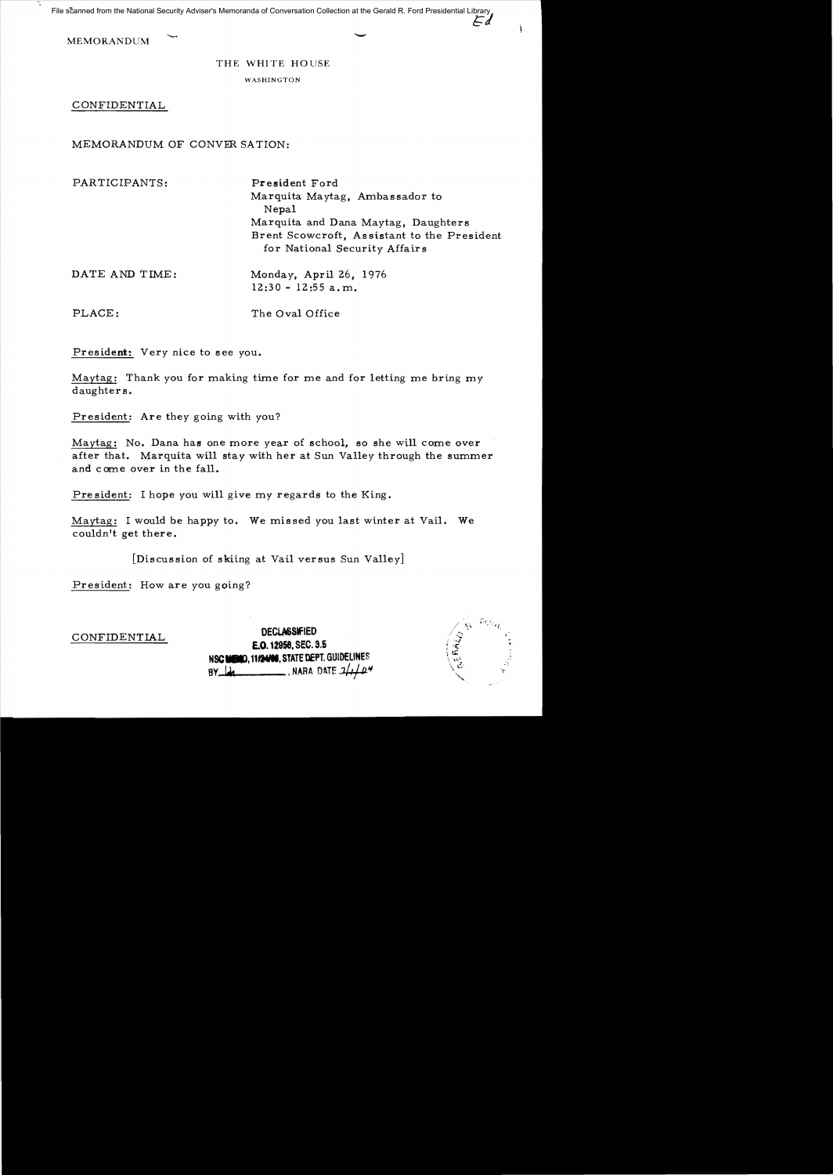File scanned from the National Security Adviser's Memoranda of Conversation Collection at the Gerald R. Ford Presidential Library

MEMORANDUM

## THE WHITE HOUSE

WASHINGTON

CONFIDENTIAL

MEMORANDUM OF CONVER SATION:

PARTICIPANTS: President Ford

Marquita Maytag, Ambassador to Nepal Marquita and Dana Maytag, Daughters Brent Scowcroft, As sistant to the President for National Security Affairs

DATE AND TIME: Monday, April 26, 1976

12:30 - 12:55 a.m.

PLACE: The Oval Office

President: Very nice to see you.

Maytag: Thank you for making time for me and for letting me bring my daughter s.

President: Are they going with you?

Maytag: No. Dana has one more year of school, so she will come over after that. Marquita will stay with her at Sun Valley through the summer and come over in the fall.

President: I hope you will give my regards to the King.

Maytag: I would be happy to. We missed you last winter at Vail. We couldn't get there.

[Discussion of skiing at Vail versus Sun Valley]

President: How are you going?

**DEClMStflED** CONFIDENTIAL **E.O. 12958.** SEC. 3.5 **NSC MENO, 11/2406, STATE DEPT. GUIDELINES<br>By I<del>da</del> III. III. NARA DATE** *3/4/1***2\*** 

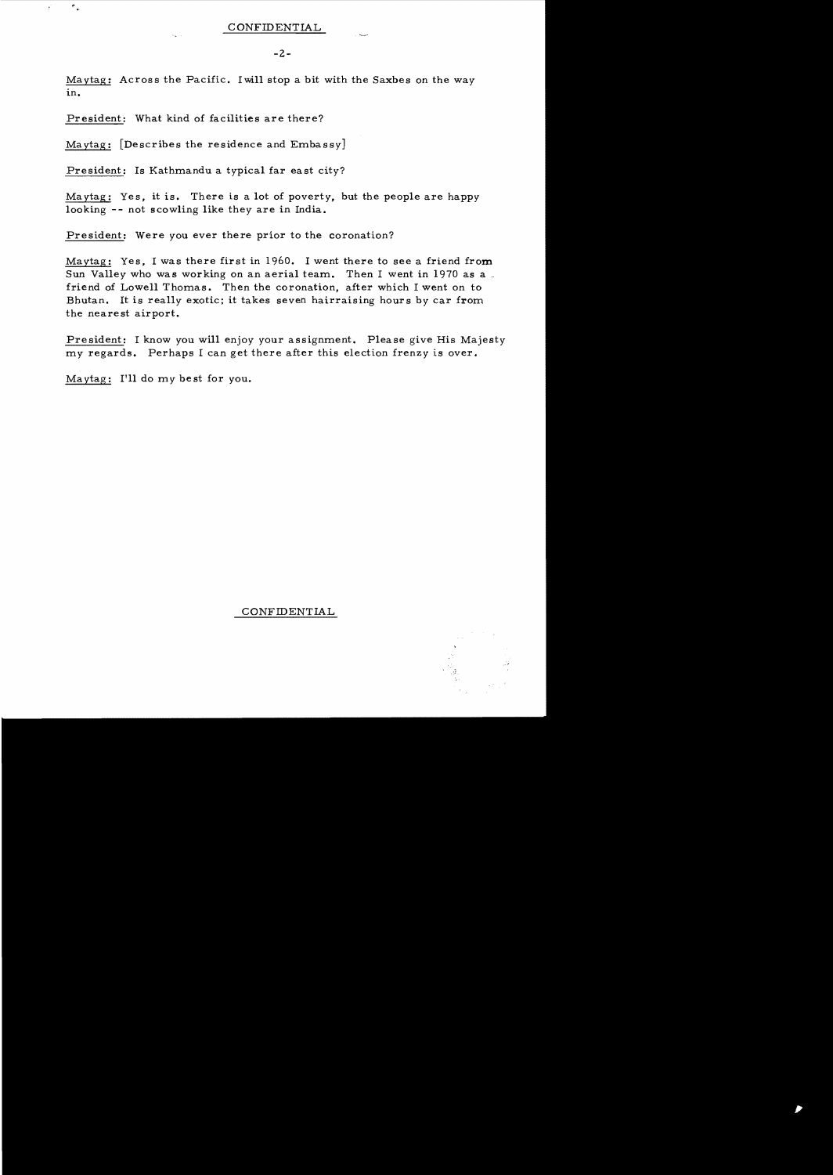Maytag: Across the Pacific. I will stop a bit with the Saxbes on the way in.

President: What kind of facilities are there?

 $\tau$  ,

 $\epsilon$ 

Maytag: [Describes the residence and Embassy]

President: Is Kathmandu a typical far east city?

Ma ytag: Ye s, it is. There is a lot of poverty, but the people are happy looking -- not scowling like they are in India.

President: Were you ever there prior to the coronation?

Maytag: Yes. I was there first in  $1960$ . I went there to see a friend from Sun Valley who was working on an aerial team. Then I went in 1970 as a friend of Lowell Thomas. Then the coronation, after which I went on to Bhutan. It is really exotic; it takes seven hairraising hours by car from the nearest airport.

President: I know you will enjoy your assignment. Please give His Majesty my regards. Perhaps I can get there after this election frenzy is over.

Ma ytag: I'll do my be st for you.

CONFIDENTIAL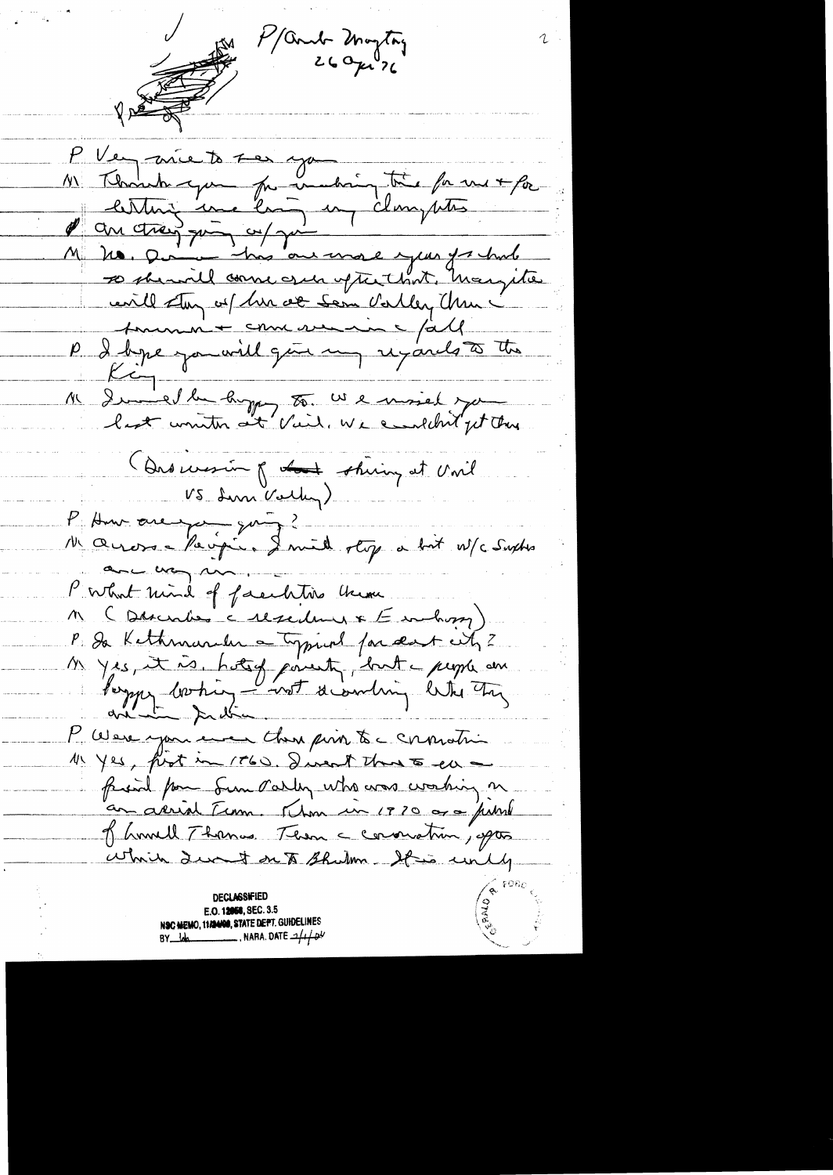P/Contr Mayton P Vey avrie to see you M Thomas que par unabien très faces + for lesting une loi un clamptes Mr vo chez qui co/ qui l' l' eville dans as him de sem Valley China ? Me Demelle hopp to We moiel you Que mesure of the shiny at Unil VS Lun Volley) P. Au avec leipi. Iniel stop a bit W/c Suphis ance way un. P what mind of faculations there M (Discribe c Macdon & E enchang) P. De Kethmander a typical for deat wh ? Myes, it is, hotely point, but a people and<br>Paymy borhing - not decording letter they P Were you ever then pin to chrostin 11 yes, first in 1760. I went that 5 en friend from Sun Parley who was working on an arrival Term. Thom in 1970 are publi of homell Thomas. Then a convention, aptes which durnt on to Bhilm. It is unily **DECLASSIFIED** E.O. 12058, SEC. 3.5 NSC MEMO, 11/24/00, STATE DEPT. GUIDELINES NARA, DATE  $\mathcal{A}$  $BY$